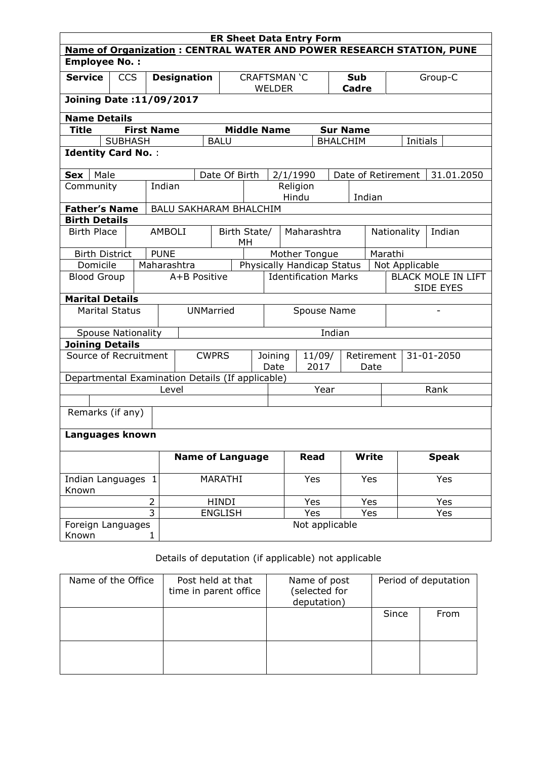| <b>ER Sheet Data Entry Form</b>                                             |                          |                   |                    |                               |                  |                                   |     |       |                |                                        |                       |            |          |              |  |
|-----------------------------------------------------------------------------|--------------------------|-------------------|--------------------|-------------------------------|------------------|-----------------------------------|-----|-------|----------------|----------------------------------------|-----------------------|------------|----------|--------------|--|
| <b>Name of Organization: CENTRAL WATER AND POWER RESEARCH STATION, PUNE</b> |                          |                   |                    |                               |                  |                                   |     |       |                |                                        |                       |            |          |              |  |
| <b>Employee No.:</b>                                                        |                          |                   |                    |                               |                  |                                   |     |       |                |                                        |                       |            |          |              |  |
| <b>Service</b>                                                              | <b>CCS</b>               |                   | <b>Designation</b> |                               |                  | <b>CRAFTSMAN 'C</b>               |     |       |                |                                        | <b>Sub</b>            |            | Group-C  |              |  |
|                                                                             |                          |                   |                    |                               | <b>WELDER</b>    |                                   |     |       | <b>Cadre</b>   |                                        |                       |            |          |              |  |
|                                                                             | Joining Date: 11/09/2017 |                   |                    |                               |                  |                                   |     |       |                |                                        |                       |            |          |              |  |
| <b>Name Details</b>                                                         |                          |                   |                    |                               |                  |                                   |     |       |                |                                        |                       |            |          |              |  |
| <b>Title</b>                                                                |                          | <b>First Name</b> |                    |                               |                  | <b>Middle Name</b>                |     |       |                |                                        | <b>Sur Name</b>       |            |          |              |  |
|                                                                             | <b>SUBHASH</b>           |                   |                    |                               | <b>BALU</b>      |                                   |     |       |                |                                        | <b>BHALCHIM</b>       |            | Initials |              |  |
| <b>Identity Card No.:</b>                                                   |                          |                   |                    |                               |                  |                                   |     |       |                |                                        |                       |            |          |              |  |
| Male<br>Sex                                                                 |                          |                   |                    |                               | Date Of Birth    |                                   |     |       | 2/1/1990       |                                        | Date of Retirement    |            |          | 31.01.2050   |  |
| Community                                                                   |                          |                   | Indian             |                               |                  |                                   |     |       | Religion       |                                        |                       |            |          |              |  |
|                                                                             |                          |                   |                    |                               |                  |                                   |     | Hindu |                |                                        | Indian                |            |          |              |  |
| <b>Father's Name</b>                                                        |                          |                   |                    | <b>BALU SAKHARAM BHALCHIM</b> |                  |                                   |     |       |                |                                        |                       |            |          |              |  |
| <b>Birth Details</b>                                                        |                          |                   |                    |                               |                  |                                   |     |       |                |                                        |                       |            |          |              |  |
| <b>Birth Place</b>                                                          |                          |                   | <b>AMBOLI</b>      |                               | Birth State/     | MН                                |     |       | Maharashtra    |                                        | Nationality<br>Indian |            |          |              |  |
| <b>Birth District</b>                                                       |                          |                   | <b>PUNE</b>        |                               |                  |                                   |     |       | Mother Tongue  |                                        |                       | Marathi    |          |              |  |
| Domicile                                                                    |                          | Maharashtra       |                    |                               |                  | Physically Handicap Status        |     |       |                |                                        | Not Applicable        |            |          |              |  |
| A+B Positive<br><b>Blood Group</b>                                          |                          |                   |                    | <b>Identification Marks</b>   |                  |                                   |     |       |                | <b>BLACK MOLE IN LIFT</b><br>SIDE EYES |                       |            |          |              |  |
| <b>Marital Details</b>                                                      |                          |                   |                    |                               |                  |                                   |     |       |                |                                        |                       |            |          |              |  |
| <b>Marital Status</b>                                                       |                          |                   |                    |                               | <b>UNMarried</b> | Spouse Name                       |     |       |                |                                        |                       |            |          |              |  |
| <b>Spouse Nationality</b>                                                   |                          |                   |                    |                               |                  | Indian                            |     |       |                |                                        |                       |            |          |              |  |
| <b>Joining Details</b>                                                      |                          |                   |                    |                               |                  |                                   |     |       |                |                                        |                       |            |          |              |  |
| Source of Recruitment                                                       |                          |                   |                    |                               | <b>CWPRS</b>     | Joining<br>11/09/<br>2017<br>Date |     |       |                | Retirement<br>Date                     |                       | 31-01-2050 |          |              |  |
| Departmental Examination Details (If applicable)                            |                          |                   |                    |                               |                  |                                   |     |       |                |                                        |                       |            |          |              |  |
|                                                                             |                          |                   | Level              |                               |                  | Year                              |     |       |                |                                        |                       | Rank       |          |              |  |
|                                                                             |                          |                   |                    |                               |                  |                                   |     |       |                |                                        |                       |            |          |              |  |
| Remarks (if any)                                                            |                          |                   |                    |                               |                  |                                   |     |       |                |                                        |                       |            |          |              |  |
| Languages known                                                             |                          |                   |                    |                               |                  |                                   |     |       |                |                                        |                       |            |          |              |  |
|                                                                             |                          |                   |                    | <b>Name of Language</b>       |                  |                                   |     |       | <b>Read</b>    |                                        | <b>Write</b>          |            |          | <b>Speak</b> |  |
| Indian Languages 1<br>Known                                                 |                          |                   | MARATHI            |                               |                  |                                   | Yes | Yes   |                |                                        |                       | Yes        |          |              |  |
|                                                                             |                          | $\overline{2}$    |                    |                               | <b>HINDI</b>     |                                   |     |       | Yes            | Yes                                    |                       |            |          | Yes          |  |
|                                                                             |                          | $\overline{3}$    |                    |                               | <b>ENGLISH</b>   |                                   |     |       | Yes            |                                        | Yes                   |            |          | Yes          |  |
| Foreign Languages<br>Known                                                  |                          | 1                 |                    |                               |                  |                                   |     |       | Not applicable |                                        |                       |            |          |              |  |

## Details of deputation (if applicable) not applicable

| Name of the Office | Post held at that<br>time in parent office | Name of post<br>(selected for<br>deputation) | Period of deputation |      |  |
|--------------------|--------------------------------------------|----------------------------------------------|----------------------|------|--|
|                    |                                            |                                              | Since                | From |  |
|                    |                                            |                                              |                      |      |  |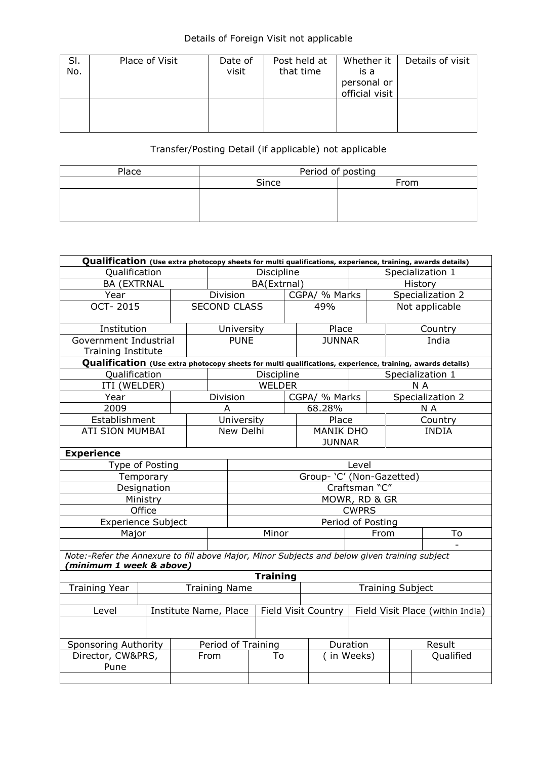## Details of Foreign Visit not applicable

| SI.<br>No. | Place of Visit | Date of<br>visit | Post held at<br>that time | Whether it<br>is a<br>personal or<br>official visit | Details of visit |
|------------|----------------|------------------|---------------------------|-----------------------------------------------------|------------------|
|            |                |                  |                           |                                                     |                  |

## Transfer/Posting Detail (if applicable) not applicable

| Place | Period of posting |      |  |  |  |  |
|-------|-------------------|------|--|--|--|--|
|       | Since             | From |  |  |  |  |
|       |                   |      |  |  |  |  |
|       |                   |      |  |  |  |  |
|       |                   |      |  |  |  |  |

| Qualification (Use extra photocopy sheets for multi qualifications, experience, training, awards details) |                                              |       |                     |                           |                 |                     |                  |                                  |                |                  |  |
|-----------------------------------------------------------------------------------------------------------|----------------------------------------------|-------|---------------------|---------------------------|-----------------|---------------------|------------------|----------------------------------|----------------|------------------|--|
| Qualification                                                                                             | Discipline                                   |       |                     |                           |                 | Specialization 1    |                  |                                  |                |                  |  |
| <b>BA (EXTRNAL</b>                                                                                        |                                              |       |                     |                           | BA(Extrnal)     |                     |                  | History                          |                |                  |  |
| Year                                                                                                      |                                              |       | Division            |                           |                 |                     | CGPA/ % Marks    |                                  |                | Specialization 2 |  |
| <b>OCT-2015</b>                                                                                           |                                              |       | <b>SECOND CLASS</b> |                           |                 |                     | 49%              |                                  | Not applicable |                  |  |
|                                                                                                           |                                              |       |                     |                           |                 |                     |                  |                                  |                |                  |  |
| Institution                                                                                               |                                              |       |                     | University                |                 |                     | Place            |                                  |                | Country          |  |
| Government Industrial                                                                                     |                                              |       |                     | <b>PUNE</b>               |                 |                     | <b>JUNNAR</b>    |                                  |                | India            |  |
| <b>Training Institute</b>                                                                                 |                                              |       |                     |                           |                 |                     |                  |                                  |                |                  |  |
| Qualification (Use extra photocopy sheets for multi qualifications, experience, training, awards details) |                                              |       |                     |                           |                 |                     |                  |                                  |                |                  |  |
| Qualification                                                                                             |                                              |       |                     |                           | Discipline      |                     |                  |                                  |                | Specialization 1 |  |
| ITI (WELDER)                                                                                              |                                              |       |                     |                           | WELDER          |                     |                  |                                  |                | N A              |  |
| Year                                                                                                      |                                              |       | Division            |                           |                 |                     | CGPA/ % Marks    |                                  |                | Specialization 2 |  |
| 2009                                                                                                      |                                              |       | A                   |                           |                 |                     | 68.28%           |                                  |                | N A              |  |
| Establishment                                                                                             |                                              |       |                     | University                |                 |                     | Place            |                                  |                | Country          |  |
| <b>ATI SION MUMBAI</b>                                                                                    |                                              |       | New Delhi           |                           |                 |                     | <b>MANIK DHO</b> |                                  | <b>INDIA</b>   |                  |  |
|                                                                                                           |                                              |       |                     |                           |                 |                     | <b>JUNNAR</b>    |                                  |                |                  |  |
| <b>Experience</b>                                                                                         |                                              |       |                     |                           |                 |                     |                  |                                  |                |                  |  |
| Type of Posting                                                                                           |                                              | Level |                     |                           |                 |                     |                  |                                  |                |                  |  |
|                                                                                                           | Temporary                                    |       |                     | Group- 'C' (Non-Gazetted) |                 |                     |                  |                                  |                |                  |  |
|                                                                                                           | Designation                                  |       | Craftsman "C"       |                           |                 |                     |                  |                                  |                |                  |  |
|                                                                                                           | Ministry                                     |       | MOWR, RD & GR       |                           |                 |                     |                  |                                  |                |                  |  |
|                                                                                                           | Office                                       |       |                     | <b>CWPRS</b>              |                 |                     |                  |                                  |                |                  |  |
| <b>Experience Subject</b>                                                                                 |                                              |       |                     | Period of Posting         |                 |                     |                  |                                  |                |                  |  |
| Major                                                                                                     |                                              |       |                     | Minor                     |                 |                     |                  | From                             |                | To               |  |
|                                                                                                           |                                              |       |                     |                           |                 |                     |                  |                                  |                |                  |  |
| Note:-Refer the Annexure to fill above Major, Minor Subjects and below given training subject             |                                              |       |                     |                           |                 |                     |                  |                                  |                |                  |  |
| minimum 1 week & above)                                                                                   |                                              |       |                     |                           |                 |                     |                  |                                  |                |                  |  |
|                                                                                                           |                                              |       |                     |                           | <b>Training</b> |                     |                  |                                  |                |                  |  |
|                                                                                                           | <b>Training Year</b><br><b>Training Name</b> |       |                     |                           |                 |                     |                  | <b>Training Subject</b>          |                |                  |  |
|                                                                                                           |                                              |       |                     |                           |                 |                     |                  |                                  |                |                  |  |
| Institute Name, Place<br>Level                                                                            |                                              |       |                     |                           |                 | Field Visit Country |                  | Field Visit Place (within India) |                |                  |  |
|                                                                                                           |                                              |       |                     |                           |                 |                     |                  |                                  |                |                  |  |
| <b>Sponsoring Authority</b>                                                                               |                                              |       | Period of Training  |                           |                 |                     |                  | Duration                         |                | Result           |  |
| Director, CW&PRS,                                                                                         |                                              |       | From                |                           | To              |                     |                  | (in Weeks)                       | Qualified      |                  |  |
| Pune                                                                                                      |                                              |       |                     |                           |                 |                     |                  |                                  |                |                  |  |
|                                                                                                           |                                              |       |                     |                           |                 |                     |                  |                                  |                |                  |  |